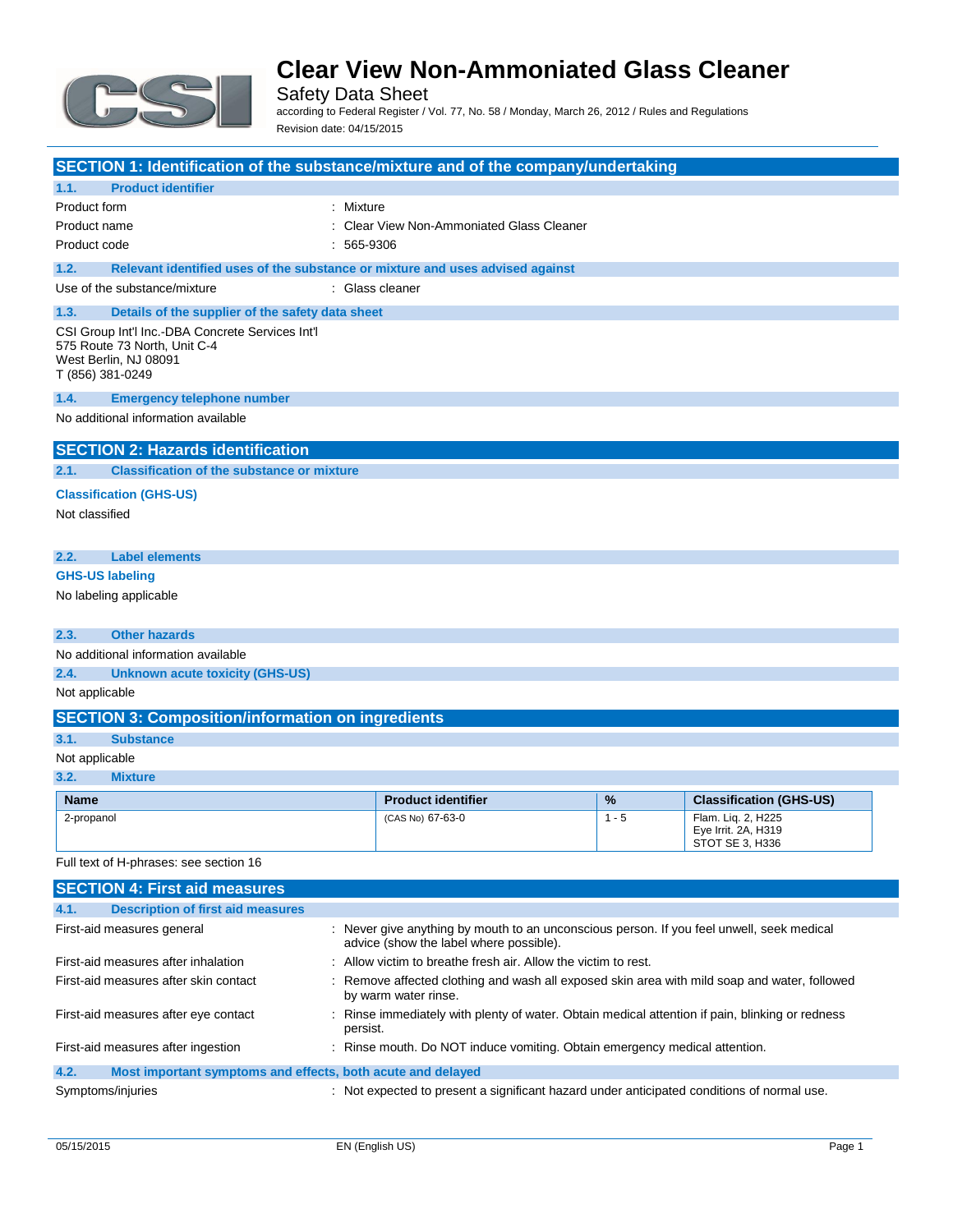

Safety Data Sheet according to Federal Register / Vol. 77, No. 58 / Monday, March 26, 2012 / Rules and Regulations Revision date: 04/15/2015

| SECTION 1: Identification of the substance/mixture and of the company/undertaking                                                                           |              |                                                                                                                                      |         |                                                              |
|-------------------------------------------------------------------------------------------------------------------------------------------------------------|--------------|--------------------------------------------------------------------------------------------------------------------------------------|---------|--------------------------------------------------------------|
| 1.1.<br><b>Product identifier</b>                                                                                                                           |              |                                                                                                                                      |         |                                                              |
| Product form                                                                                                                                                | : Mixture    |                                                                                                                                      |         |                                                              |
| Product name                                                                                                                                                |              | <b>Clear View Non-Ammoniated Glass Cleaner</b>                                                                                       |         |                                                              |
| Product code                                                                                                                                                | $: 565-9306$ |                                                                                                                                      |         |                                                              |
| 1.2.<br>Relevant identified uses of the substance or mixture and uses advised against                                                                       |              |                                                                                                                                      |         |                                                              |
| Use of the substance/mixture                                                                                                                                |              | : Glass cleaner                                                                                                                      |         |                                                              |
| 1.3.<br>Details of the supplier of the safety data sheet                                                                                                    |              |                                                                                                                                      |         |                                                              |
| CSI Group Int'l Inc.-DBA Concrete Services Int'l<br>575 Route 73 North, Unit C-4<br>West Berlin, NJ 08091<br>T (856) 381-0249                               |              |                                                                                                                                      |         |                                                              |
| 1.4.<br><b>Emergency telephone number</b>                                                                                                                   |              |                                                                                                                                      |         |                                                              |
| No additional information available                                                                                                                         |              |                                                                                                                                      |         |                                                              |
| <b>SECTION 2: Hazards identification</b>                                                                                                                    |              |                                                                                                                                      |         |                                                              |
| 2.1.<br><b>Classification of the substance or mixture</b>                                                                                                   |              |                                                                                                                                      |         |                                                              |
| <b>Classification (GHS-US)</b>                                                                                                                              |              |                                                                                                                                      |         |                                                              |
| Not classified                                                                                                                                              |              |                                                                                                                                      |         |                                                              |
|                                                                                                                                                             |              |                                                                                                                                      |         |                                                              |
| 2.2.<br><b>Label elements</b>                                                                                                                               |              |                                                                                                                                      |         |                                                              |
| <b>GHS-US labeling</b>                                                                                                                                      |              |                                                                                                                                      |         |                                                              |
| No labeling applicable                                                                                                                                      |              |                                                                                                                                      |         |                                                              |
| <b>Other hazards</b><br>2.3.                                                                                                                                |              |                                                                                                                                      |         |                                                              |
| No additional information available                                                                                                                         |              |                                                                                                                                      |         |                                                              |
| 2.4.<br><b>Unknown acute toxicity (GHS-US)</b>                                                                                                              |              |                                                                                                                                      |         |                                                              |
| Not applicable                                                                                                                                              |              |                                                                                                                                      |         |                                                              |
| <b>SECTION 3: Composition/information on ingredients</b>                                                                                                    |              |                                                                                                                                      |         |                                                              |
| 3.1.<br><b>Substance</b>                                                                                                                                    |              |                                                                                                                                      |         |                                                              |
| Not applicable                                                                                                                                              |              |                                                                                                                                      |         |                                                              |
| 3.2.<br><b>Mixture</b>                                                                                                                                      |              |                                                                                                                                      |         |                                                              |
| <b>Name</b>                                                                                                                                                 |              | <b>Product identifier</b>                                                                                                            | %       | <b>Classification (GHS-US)</b>                               |
| 2-propanol                                                                                                                                                  |              | (CAS No) 67-63-0                                                                                                                     | $1 - 5$ | Flam. Liq. 2, H225<br>Eye Irrit. 2A, H319<br>STOT SE 3, H336 |
| Full text of H-phrases: see section 16                                                                                                                      |              |                                                                                                                                      |         |                                                              |
| <b>SECTION 4: First aid measures</b>                                                                                                                        |              |                                                                                                                                      |         |                                                              |
| 4.1.<br><b>Description of first aid measures</b>                                                                                                            |              |                                                                                                                                      |         |                                                              |
| First-aid measures general                                                                                                                                  |              | : Never give anything by mouth to an unconscious person. If you feel unwell, seek medical<br>advice (show the label where possible). |         |                                                              |
| First-aid measures after inhalation                                                                                                                         |              | : Allow victim to breathe fresh air. Allow the victim to rest.                                                                       |         |                                                              |
| First-aid measures after skin contact<br>Remove affected clothing and wash all exposed skin area with mild soap and water, followed<br>by warm water rinse. |              |                                                                                                                                      |         |                                                              |

### **4.2. Most important symptoms and effects, both acute and delayed**

Symptoms/injuries **interpretent in the symptoms** of the symptoms/injuries interpretent a significant hazard under anticipated conditions of normal use.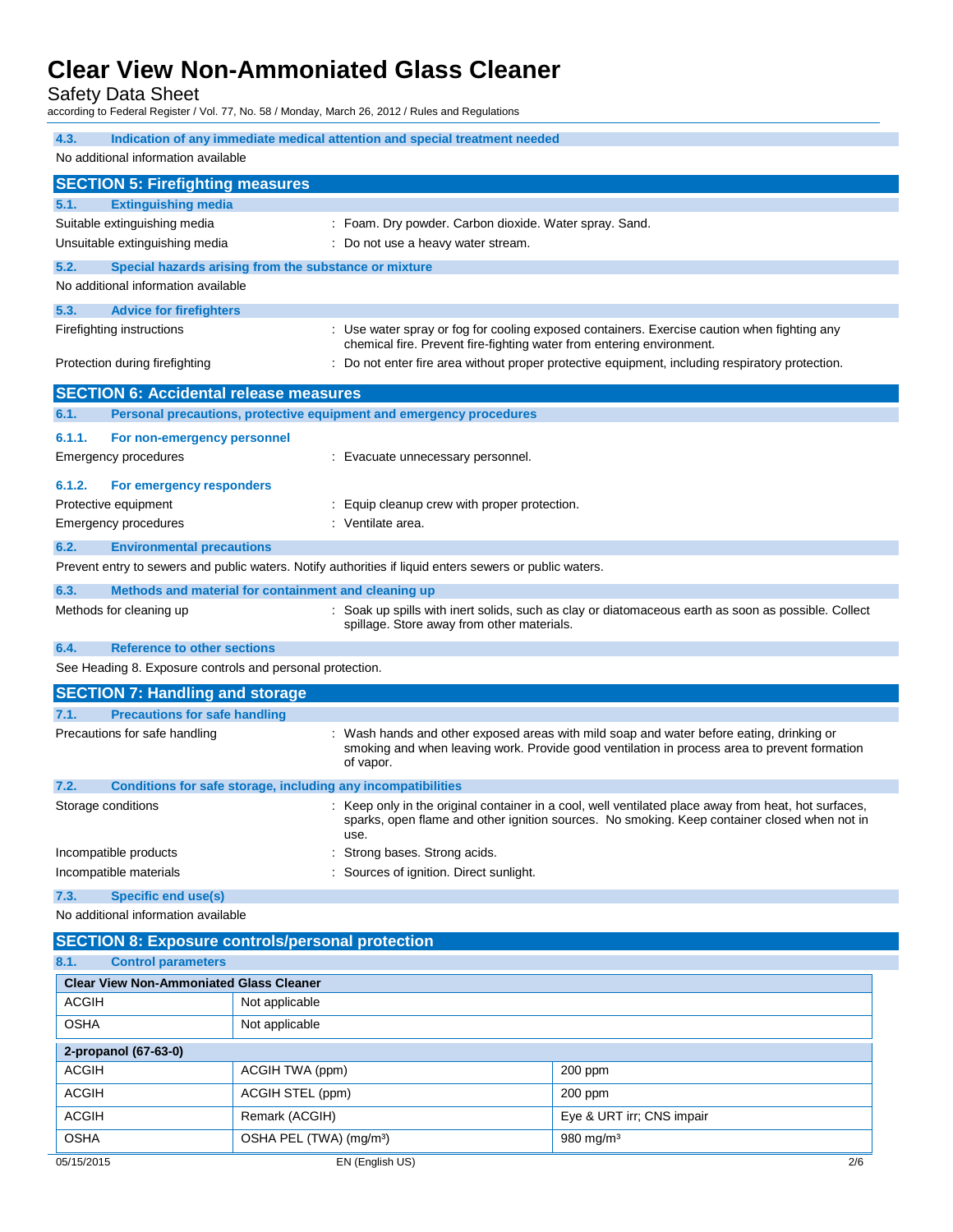Safety Data Sheet

according to Federal Register / Vol. 77, No. 58 / Monday, March 26, 2012 / Rules and Regulations

| 4.3.<br>Indication of any immediate medical attention and special treatment needed<br>No additional information available                                                                                                            |                                                                     |                                                                                                                                                                                                      |  |
|--------------------------------------------------------------------------------------------------------------------------------------------------------------------------------------------------------------------------------------|---------------------------------------------------------------------|------------------------------------------------------------------------------------------------------------------------------------------------------------------------------------------------------|--|
| <b>SECTION 5: Firefighting measures</b>                                                                                                                                                                                              |                                                                     |                                                                                                                                                                                                      |  |
| 5.1.<br><b>Extinguishing media</b>                                                                                                                                                                                                   |                                                                     |                                                                                                                                                                                                      |  |
| Suitable extinguishing media                                                                                                                                                                                                         |                                                                     | : Foam. Dry powder. Carbon dioxide. Water spray. Sand.                                                                                                                                               |  |
| Unsuitable extinguishing media                                                                                                                                                                                                       |                                                                     | Do not use a heavy water stream.                                                                                                                                                                     |  |
| 5.2.                                                                                                                                                                                                                                 | Special hazards arising from the substance or mixture               |                                                                                                                                                                                                      |  |
| No additional information available                                                                                                                                                                                                  |                                                                     |                                                                                                                                                                                                      |  |
| 5.3.<br><b>Advice for firefighters</b>                                                                                                                                                                                               |                                                                     |                                                                                                                                                                                                      |  |
| Firefighting instructions                                                                                                                                                                                                            |                                                                     | : Use water spray or fog for cooling exposed containers. Exercise caution when fighting any<br>chemical fire. Prevent fire-fighting water from entering environment.                                 |  |
| Protection during firefighting                                                                                                                                                                                                       |                                                                     | : Do not enter fire area without proper protective equipment, including respiratory protection.                                                                                                      |  |
| <b>SECTION 6: Accidental release measures</b>                                                                                                                                                                                        |                                                                     |                                                                                                                                                                                                      |  |
| 6.1.                                                                                                                                                                                                                                 | Personal precautions, protective equipment and emergency procedures |                                                                                                                                                                                                      |  |
| 6.1.1.<br>For non-emergency personnel                                                                                                                                                                                                |                                                                     |                                                                                                                                                                                                      |  |
| Emergency procedures                                                                                                                                                                                                                 |                                                                     | : Evacuate unnecessary personnel.                                                                                                                                                                    |  |
| 6.1.2.<br>For emergency responders                                                                                                                                                                                                   |                                                                     |                                                                                                                                                                                                      |  |
| Protective equipment                                                                                                                                                                                                                 |                                                                     | Equip cleanup crew with proper protection.                                                                                                                                                           |  |
| Emergency procedures                                                                                                                                                                                                                 | : Ventilate area.                                                   |                                                                                                                                                                                                      |  |
| 6.2.<br><b>Environmental precautions</b>                                                                                                                                                                                             |                                                                     |                                                                                                                                                                                                      |  |
|                                                                                                                                                                                                                                      |                                                                     | Prevent entry to sewers and public waters. Notify authorities if liquid enters sewers or public waters.                                                                                              |  |
| 6.3.                                                                                                                                                                                                                                 | Methods and material for containment and cleaning up                |                                                                                                                                                                                                      |  |
| Methods for cleaning up                                                                                                                                                                                                              |                                                                     | : Soak up spills with inert solids, such as clay or diatomaceous earth as soon as possible. Collect<br>spillage. Store away from other materials.                                                    |  |
| 6.4.<br><b>Reference to other sections</b>                                                                                                                                                                                           |                                                                     |                                                                                                                                                                                                      |  |
| See Heading 8. Exposure controls and personal protection.                                                                                                                                                                            |                                                                     |                                                                                                                                                                                                      |  |
| <b>SECTION 7: Handling and storage</b>                                                                                                                                                                                               |                                                                     |                                                                                                                                                                                                      |  |
| 7.1.<br><b>Precautions for safe handling</b>                                                                                                                                                                                         |                                                                     |                                                                                                                                                                                                      |  |
| Precautions for safe handling<br>Wash hands and other exposed areas with mild soap and water before eating, drinking or<br>smoking and when leaving work. Provide good ventilation in process area to prevent formation<br>of vapor. |                                                                     |                                                                                                                                                                                                      |  |
| 7.2.                                                                                                                                                                                                                                 | Conditions for safe storage, including any incompatibilities        |                                                                                                                                                                                                      |  |
| Storage conditions                                                                                                                                                                                                                   | use.                                                                | : Keep only in the original container in a cool, well ventilated place away from heat, hot surfaces,<br>sparks, open flame and other ignition sources. No smoking. Keep container closed when not in |  |
| Incompatible products                                                                                                                                                                                                                |                                                                     | Strong bases. Strong acids.                                                                                                                                                                          |  |
| Incompatible materials                                                                                                                                                                                                               |                                                                     | Sources of ignition. Direct sunlight.                                                                                                                                                                |  |
| <b>Specific end use(s)</b><br>7.3.                                                                                                                                                                                                   |                                                                     |                                                                                                                                                                                                      |  |
| No additional information available                                                                                                                                                                                                  |                                                                     |                                                                                                                                                                                                      |  |
| <b>SECTION 8: Exposure controls/personal protection</b>                                                                                                                                                                              |                                                                     |                                                                                                                                                                                                      |  |
| 8.1.<br><b>Control parameters</b>                                                                                                                                                                                                    |                                                                     |                                                                                                                                                                                                      |  |
| <b>Clear View Non-Ammoniated Glass Cleaner</b>                                                                                                                                                                                       |                                                                     |                                                                                                                                                                                                      |  |
| ACGIH                                                                                                                                                                                                                                | Not applicable                                                      |                                                                                                                                                                                                      |  |
| <b>OSHA</b>                                                                                                                                                                                                                          | Not applicable                                                      |                                                                                                                                                                                                      |  |
| 2-propanol (67-63-0)                                                                                                                                                                                                                 |                                                                     |                                                                                                                                                                                                      |  |
| <b>ACGIH</b>                                                                                                                                                                                                                         | ACGIH TWA (ppm)                                                     | 200 ppm                                                                                                                                                                                              |  |
| <b>ACGIH</b>                                                                                                                                                                                                                         | ACGIH STEL (ppm)                                                    | 200 ppm                                                                                                                                                                                              |  |
| <b>ACGIH</b>                                                                                                                                                                                                                         | Remark (ACGIH)                                                      | Eye & URT irr; CNS impair                                                                                                                                                                            |  |

OSHA OSHA PEL (TWA) (mg/m<sup>3</sup>) 980 mg/m<sup>3</sup>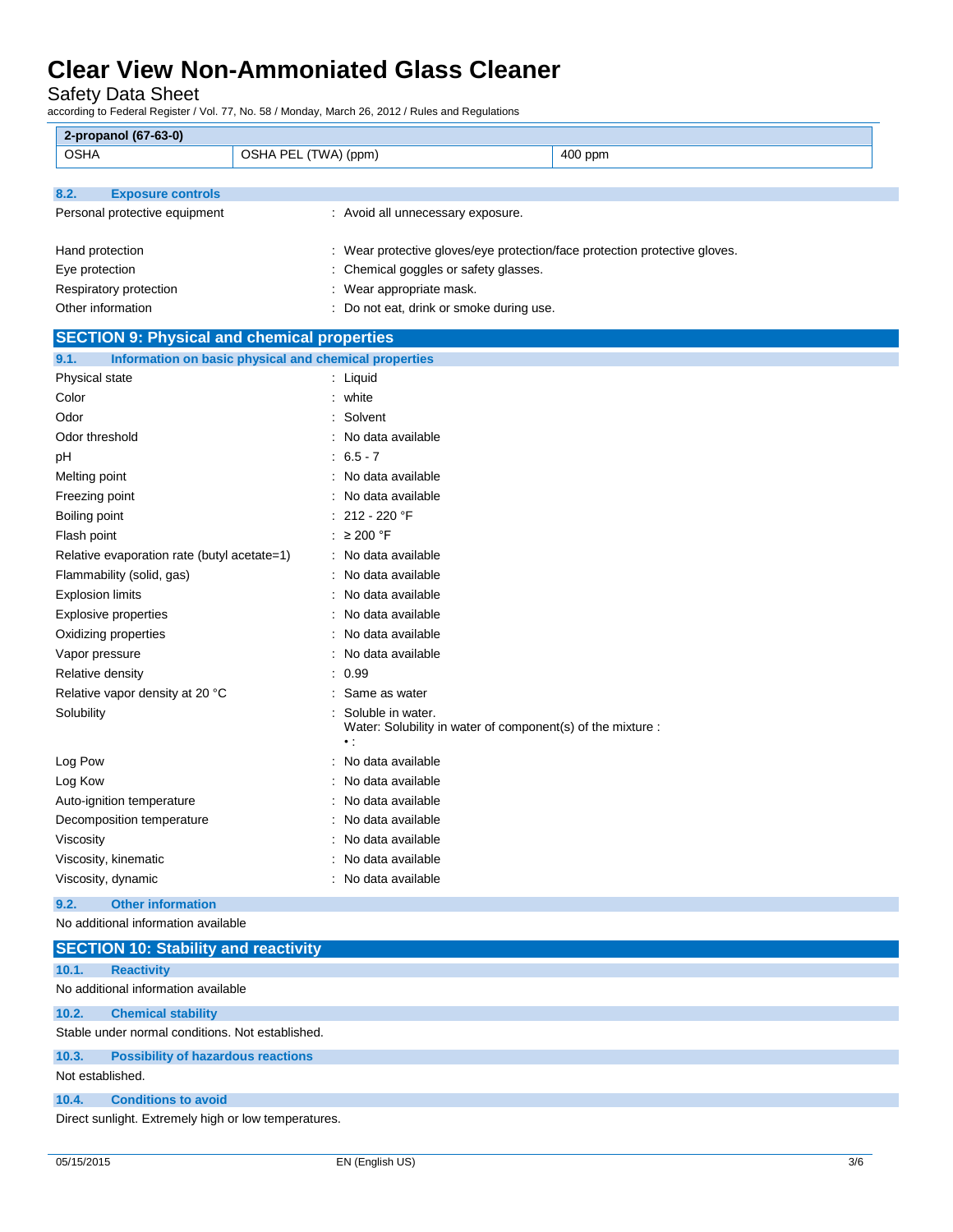Safety Data Sheet

according to Federal Register / Vol. 77, No. 58 / Monday, March 26, 2012 / Rules and Regulations

| 2-propanol (67-63-0)                               |                                                                                               |
|----------------------------------------------------|-----------------------------------------------------------------------------------------------|
| <b>OSHA</b>                                        | OSHA PEL (TWA) (ppm)<br>400 ppm                                                               |
|                                                    |                                                                                               |
| 8.2.<br><b>Exposure controls</b>                   |                                                                                               |
| Personal protective equipment                      | : Avoid all unnecessary exposure.                                                             |
|                                                    |                                                                                               |
| Hand protection                                    | : Wear protective gloves/eye protection/face protection protective gloves.                    |
| Eye protection                                     | Chemical goggles or safety glasses.                                                           |
| Respiratory protection                             | Wear appropriate mask.                                                                        |
| Other information                                  | Do not eat, drink or smoke during use.                                                        |
| <b>SECTION 9: Physical and chemical properties</b> |                                                                                               |
| 9.1.                                               | Information on basic physical and chemical properties                                         |
| Physical state                                     | : Liquid                                                                                      |
| Color                                              | : white                                                                                       |
| Odor                                               | : Solvent                                                                                     |
| Odor threshold                                     | No data available                                                                             |
| рH                                                 | $6.5 - 7$                                                                                     |
| Melting point                                      | No data available                                                                             |
| Freezing point                                     | No data available                                                                             |
| Boiling point                                      | : 212 - 220 °F                                                                                |
| Flash point                                        | : $\geq 200$ °F                                                                               |
| Relative evaporation rate (butyl acetate=1)        | : No data available                                                                           |
| Flammability (solid, gas)                          | No data available                                                                             |
| <b>Explosion limits</b>                            | No data available                                                                             |
| Explosive properties                               | No data available                                                                             |
| Oxidizing properties                               | No data available                                                                             |
| Vapor pressure                                     | No data available                                                                             |
| Relative density                                   | 0.99                                                                                          |
| Relative vapor density at 20 °C                    | Same as water                                                                                 |
| Solubility                                         | Soluble in water.<br>Water: Solubility in water of component(s) of the mixture :<br>$\cdot$ : |
| Log Pow                                            | No data available                                                                             |
| Log Kow                                            | No data available                                                                             |
| Auto-ignition temperature                          | No data available                                                                             |
| Decomposition temperature                          | No data available                                                                             |
| Viscosity                                          | : No data available                                                                           |
| Viscosity, kinematic                               | No data available                                                                             |
| Viscosity, dynamic                                 | No data available                                                                             |
| <b>Other information</b><br>9.2.                   |                                                                                               |
| No additional information available                |                                                                                               |

|                  | <b>SECTION 10: Stability and reactivity</b>          |
|------------------|------------------------------------------------------|
| 10.1.            | <b>Reactivity</b>                                    |
|                  | No additional information available                  |
| 10.2.            | <b>Chemical stability</b>                            |
|                  | Stable under normal conditions. Not established.     |
| 10.3.            | <b>Possibility of hazardous reactions</b>            |
| Not established. |                                                      |
| 10.4.            | <b>Conditions to avoid</b>                           |
|                  | Direct sunlight. Extremely high or low temperatures. |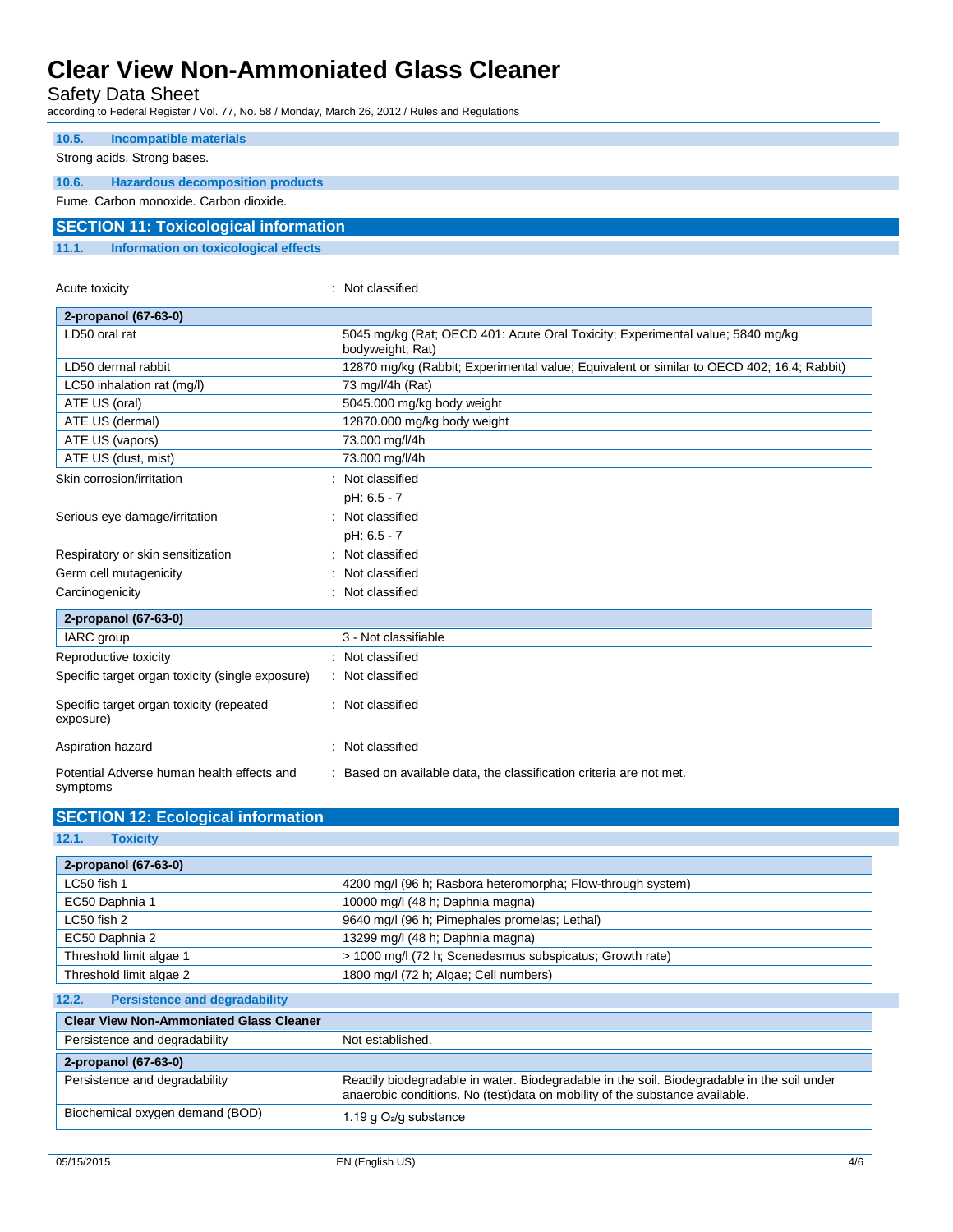Safety Data Sheet

according to Federal Register / Vol. 77, No. 58 / Monday, March 26, 2012 / Rules and Regulations

| 10.5.                                        | Incompatible materials                  |  |
|----------------------------------------------|-----------------------------------------|--|
|                                              |                                         |  |
|                                              | Strong acids. Strong bases.             |  |
| 10.6.                                        | <b>Hazardous decomposition products</b> |  |
|                                              | Fume, Carbon monoxide, Carbon dioxide.  |  |
| <b>SECTION 11: Toxicological information</b> |                                         |  |
| 11.1.                                        | Information on toxicological effects    |  |

| Acute toxicity                                         | Not classified                                                                                     |
|--------------------------------------------------------|----------------------------------------------------------------------------------------------------|
| 2-propanol (67-63-0)                                   |                                                                                                    |
| LD50 oral rat                                          | 5045 mg/kg (Rat; OECD 401: Acute Oral Toxicity; Experimental value; 5840 mg/kg<br>bodyweight; Rat) |
| LD50 dermal rabbit                                     | 12870 mg/kg (Rabbit; Experimental value; Equivalent or similar to OECD 402; 16.4; Rabbit)          |
| LC50 inhalation rat (mg/l)                             | 73 mg/l/4h (Rat)                                                                                   |
| ATE US (oral)                                          | 5045.000 mg/kg body weight                                                                         |
| ATE US (dermal)                                        | 12870.000 mg/kg body weight                                                                        |
| ATE US (vapors)                                        | 73.000 mg/l/4h                                                                                     |
| ATE US (dust, mist)                                    | 73.000 mg/l/4h                                                                                     |
| Skin corrosion/irritation                              | Not classified                                                                                     |
|                                                        | pH: 6.5 - 7                                                                                        |
| Serious eye damage/irritation                          | Not classified                                                                                     |
|                                                        | pH: 6.5 - 7                                                                                        |
| Respiratory or skin sensitization                      | Not classified                                                                                     |
| Germ cell mutagenicity                                 | Not classified                                                                                     |
| Carcinogenicity                                        | Not classified                                                                                     |
| 2-propanol (67-63-0)                                   |                                                                                                    |
| IARC group                                             | 3 - Not classifiable                                                                               |
| Reproductive toxicity                                  | : Not classified                                                                                   |
| Specific target organ toxicity (single exposure)       | Not classified                                                                                     |
| Specific target organ toxicity (repeated<br>exposure)  | : Not classified                                                                                   |
| Aspiration hazard                                      | Not classified                                                                                     |
| Potential Adverse human health effects and<br>symptoms | Based on available data, the classification criteria are not met.                                  |

| <b>SECTION 12: Ecological information</b> |
|-------------------------------------------|
|-------------------------------------------|

**12.1. Toxicity**

| 2-propanol (67-63-0)                           |                                                                                                                                                                           |  |
|------------------------------------------------|---------------------------------------------------------------------------------------------------------------------------------------------------------------------------|--|
| LC50 fish 1                                    | 4200 mg/l (96 h; Rasbora heteromorpha; Flow-through system)                                                                                                               |  |
| EC50 Daphnia 1                                 | 10000 mg/l (48 h; Daphnia magna)                                                                                                                                          |  |
| LC50 fish 2                                    | 9640 mg/l (96 h; Pimephales promelas; Lethal)                                                                                                                             |  |
| EC50 Daphnia 2                                 | 13299 mg/l (48 h; Daphnia magna)                                                                                                                                          |  |
| Threshold limit algae 1                        | > 1000 mg/l (72 h; Scenedesmus subspicatus; Growth rate)                                                                                                                  |  |
| Threshold limit algae 2                        | 1800 mg/l (72 h; Algae; Cell numbers)                                                                                                                                     |  |
| <b>Persistence and degradability</b><br>12.2.  |                                                                                                                                                                           |  |
| <b>Clear View Non-Ammoniated Glass Cleaner</b> |                                                                                                                                                                           |  |
| Persistence and degradability                  | Not established.                                                                                                                                                          |  |
| 2-propanol (67-63-0)                           |                                                                                                                                                                           |  |
| Persistence and degradability                  | Readily biodegradable in water. Biodegradable in the soil. Biodegradable in the soil under<br>anaerobic conditions. No (test)data on mobility of the substance available. |  |
| Biochemical oxygen demand (BOD)                | 1.19 g O <sub>2</sub> /g substance                                                                                                                                        |  |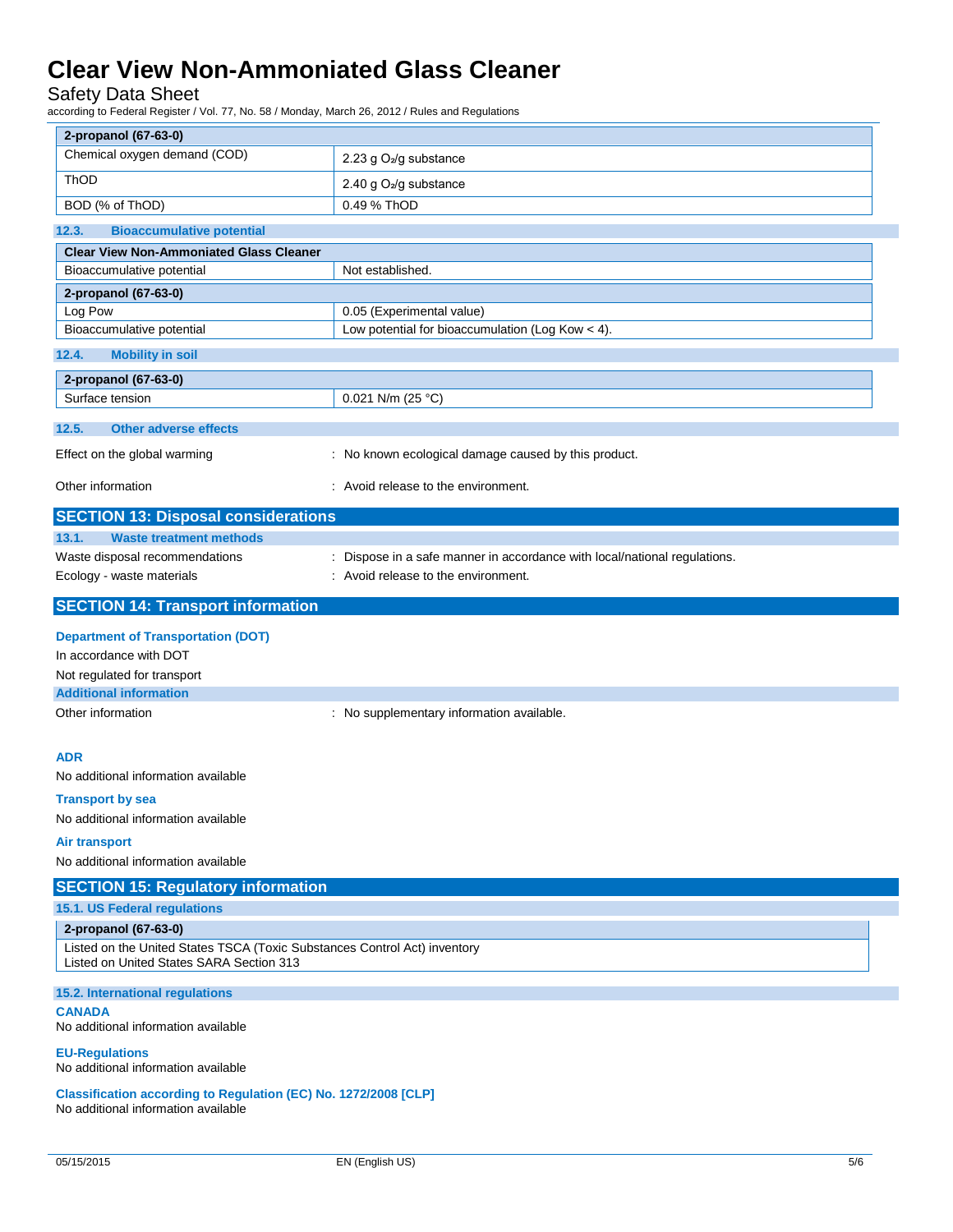### Safety Data Sheet

according to Federal Register / Vol. 77, No. 58 / Monday, March 26, 2012 / Rules and Regulations

| 2-propanol (67-63-0)                                                                                                  |                                                                           |
|-----------------------------------------------------------------------------------------------------------------------|---------------------------------------------------------------------------|
| Chemical oxygen demand (COD)                                                                                          | 2.23 g O <sub>2</sub> /g substance                                        |
| ThOD                                                                                                                  | 2.40 g O <sub>2</sub> /g substance                                        |
| BOD (% of ThOD)                                                                                                       | 0.49 % ThOD                                                               |
| 12.3.<br><b>Bioaccumulative potential</b>                                                                             |                                                                           |
| <b>Clear View Non-Ammoniated Glass Cleaner</b>                                                                        |                                                                           |
| Bioaccumulative potential                                                                                             | Not established.                                                          |
| 2-propanol (67-63-0)                                                                                                  |                                                                           |
| Log Pow                                                                                                               | 0.05 (Experimental value)                                                 |
| Bioaccumulative potential                                                                                             | Low potential for bioaccumulation (Log Kow $<$ 4).                        |
| 12.4.<br><b>Mobility in soil</b>                                                                                      |                                                                           |
| 2-propanol (67-63-0)                                                                                                  |                                                                           |
| Surface tension                                                                                                       | 0.021 N/m (25 °C)                                                         |
| 12.5.<br><b>Other adverse effects</b>                                                                                 |                                                                           |
| Effect on the global warming                                                                                          | : No known ecological damage caused by this product.                      |
| Other information                                                                                                     | : Avoid release to the environment.                                       |
| <b>SECTION 13: Disposal considerations</b>                                                                            |                                                                           |
| 13.1.<br><b>Waste treatment methods</b>                                                                               |                                                                           |
| Waste disposal recommendations                                                                                        | : Dispose in a safe manner in accordance with local/national regulations. |
| Ecology - waste materials                                                                                             | : Avoid release to the environment.                                       |
| <b>SECTION 14: Transport information</b>                                                                              |                                                                           |
| <b>Department of Transportation (DOT)</b>                                                                             |                                                                           |
| In accordance with DOT                                                                                                |                                                                           |
| Not regulated for transport                                                                                           |                                                                           |
| <b>Additional information</b>                                                                                         |                                                                           |
| Other information                                                                                                     | : No supplementary information available.                                 |
| <b>ADR</b>                                                                                                            |                                                                           |
| No additional information available                                                                                   |                                                                           |
| <b>Transport by sea</b>                                                                                               |                                                                           |
| No additional information available                                                                                   |                                                                           |
| <b>Air transport</b>                                                                                                  |                                                                           |
| No additional information available                                                                                   |                                                                           |
| <b>SECTION 15: Regulatory information</b>                                                                             |                                                                           |
| 15.1. US Federal regulations                                                                                          |                                                                           |
| 2-propanol (67-63-0)                                                                                                  |                                                                           |
| Listed on the United States TSCA (Toxic Substances Control Act) inventory<br>Listed on United States SARA Section 313 |                                                                           |
| 15.2. International regulations                                                                                       |                                                                           |
|                                                                                                                       |                                                                           |
| <b>CANADA</b><br>No additional information available                                                                  |                                                                           |
| <b>EU-Regulations</b><br>No additional information available                                                          |                                                                           |